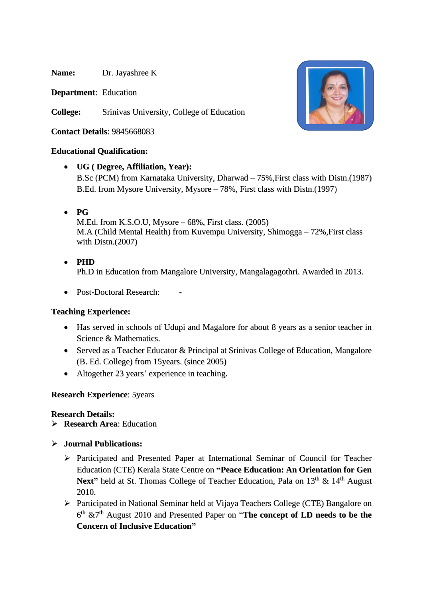**Name:** Dr. Jayashree K

**Department**: Education

**College:** Srinivas University, College of Education

**Contact Details**: 9845668083

### **Educational Qualification:**

- **UG ( Degree, Affiliation, Year):** B.Sc (PCM) from Karnataka University, Dharwad – 75%,First class with Distn.(1987) B.Ed. from Mysore University, Mysore – 78%, First class with Distn.(1997)
- **PG**

M.Ed. from K.S.O.U, Mysore – 68%, First class. (2005) M.A (Child Mental Health) from Kuvempu University, Shimogga – 72%,First class with Distn.(2007)

- **PHD** Ph.D in Education from Mangalore University, Mangalagagothri. Awarded in 2013.
- Post-Doctoral Research:

### **Teaching Experience:**

- Has served in schools of Udupi and Magalore for about 8 years as a senior teacher in Science & Mathematics.
- Served as a Teacher Educator & Principal at Srinivas College of Education, Mangalore (B. Ed. College) from 15years. (since 2005)
- Altogether 23 years' experience in teaching.

### **Research Experience**: 5years

### **Research Details:**

- ➢ **Research Area**: Education
- ➢ **Journal Publications:**
	- ➢ Participated and Presented Paper at International Seminar of Council for Teacher Education (CTE) Kerala State Centre on **"Peace Education: An Orientation for Gen** Next" held at St. Thomas College of Teacher Education, Pala on 13<sup>th</sup> & 14<sup>th</sup> August 2010.
	- ➢ Participated in National Seminar held at Vijaya Teachers College (CTE) Bangalore on 6 th &7 th August 2010 and Presented Paper on "**The concept of LD needs to be the Concern of Inclusive Education"**